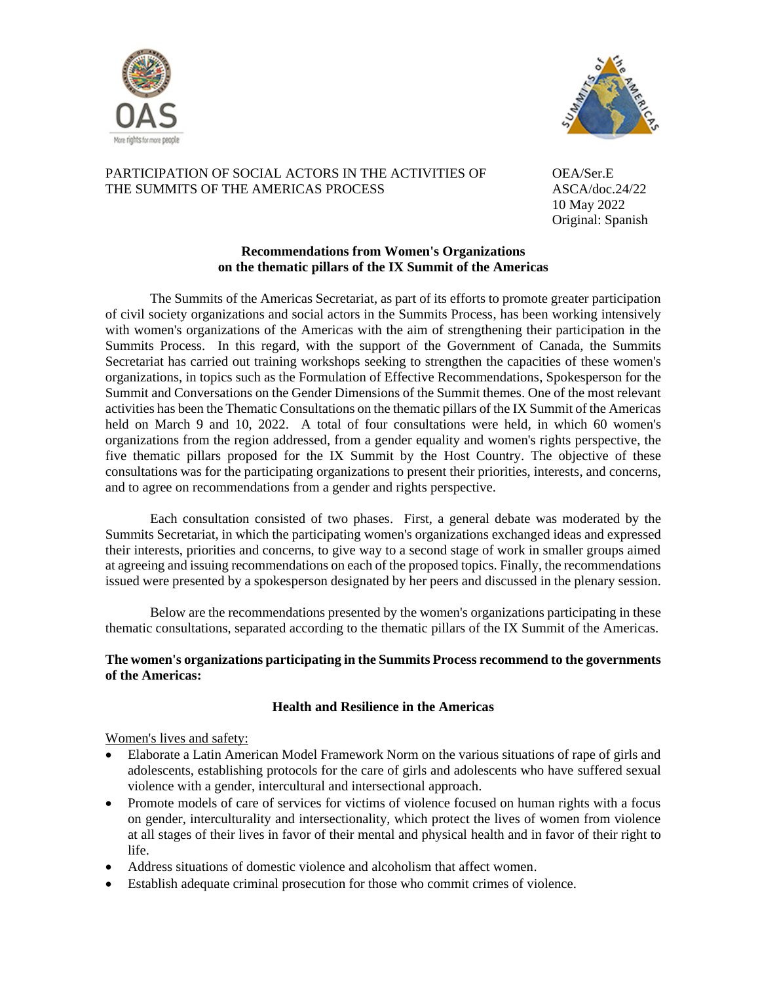



# PARTICIPATION OF SOCIAL ACTORS IN THE ACTIVITIES OF OEA/Ser.E THE SUMMITS OF THE AMERICAS PROCESS ASCA/doc.24/22

10 May 2022 Original: Spanish

# **Recommendations from Women's Organizations on the thematic pillars of the IX Summit of the Americas**

The Summits of the Americas Secretariat, as part of its efforts to promote greater participation of civil society organizations and social actors in the Summits Process, has been working intensively with women's organizations of the Americas with the aim of strengthening their participation in the Summits Process. In this regard, with the support of the Government of Canada, the Summits Secretariat has carried out training workshops seeking to strengthen the capacities of these women's organizations, in topics such as the Formulation of Effective Recommendations, Spokesperson for the Summit and Conversations on the Gender Dimensions of the Summit themes. One of the most relevant activities has been the Thematic Consultations on the thematic pillars of the IX Summit of the Americas held on March 9 and 10, 2022. A total of four consultations were held, in which 60 women's organizations from the region addressed, from a gender equality and women's rights perspective, the five thematic pillars proposed for the IX Summit by the Host Country. The objective of these consultations was for the participating organizations to present their priorities, interests, and concerns, and to agree on recommendations from a gender and rights perspective.

Each consultation consisted of two phases. First, a general debate was moderated by the Summits Secretariat, in which the participating women's organizations exchanged ideas and expressed their interests, priorities and concerns, to give way to a second stage of work in smaller groups aimed at agreeing and issuing recommendations on each of the proposed topics. Finally, the recommendations issued were presented by a spokesperson designated by her peers and discussed in the plenary session.

Below are the recommendations presented by the women's organizations participating in these thematic consultations, separated according to the thematic pillars of the IX Summit of the Americas.

# **The women's organizations participating in the Summits Process recommend to the governments of the Americas:**

# **Health and Resilience in the Americas**

# Women's lives and safety:

- Elaborate a Latin American Model Framework Norm on the various situations of rape of girls and adolescents, establishing protocols for the care of girls and adolescents who have suffered sexual violence with a gender, intercultural and intersectional approach.
- Promote models of care of services for victims of violence focused on human rights with a focus on gender, interculturality and intersectionality, which protect the lives of women from violence at all stages of their lives in favor of their mental and physical health and in favor of their right to life.
- Address situations of domestic violence and alcoholism that affect women.
- Establish adequate criminal prosecution for those who commit crimes of violence.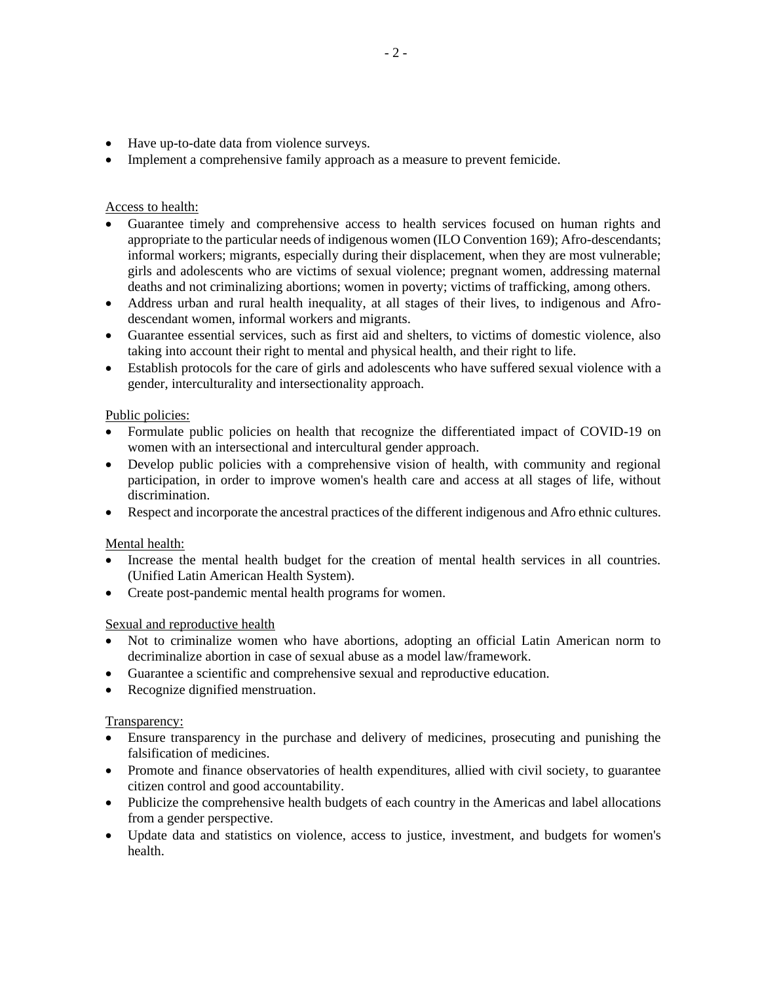- Have up-to-date data from violence surveys.
- Implement a comprehensive family approach as a measure to prevent femicide.

# Access to health:

- Guarantee timely and comprehensive access to health services focused on human rights and appropriate to the particular needs of indigenous women (ILO Convention 169); Afro-descendants; informal workers; migrants, especially during their displacement, when they are most vulnerable; girls and adolescents who are victims of sexual violence; pregnant women, addressing maternal deaths and not criminalizing abortions; women in poverty; victims of trafficking, among others.
- Address urban and rural health inequality, at all stages of their lives, to indigenous and Afrodescendant women, informal workers and migrants.
- Guarantee essential services, such as first aid and shelters, to victims of domestic violence, also taking into account their right to mental and physical health, and their right to life.
- Establish protocols for the care of girls and adolescents who have suffered sexual violence with a gender, interculturality and intersectionality approach.

# Public policies:

- Formulate public policies on health that recognize the differentiated impact of COVID-19 on women with an intersectional and intercultural gender approach.
- Develop public policies with a comprehensive vision of health, with community and regional participation, in order to improve women's health care and access at all stages of life, without discrimination.
- Respect and incorporate the ancestral practices of the different indigenous and Afro ethnic cultures.

# Mental health:

- Increase the mental health budget for the creation of mental health services in all countries. (Unified Latin American Health System).
- Create post-pandemic mental health programs for women.

# Sexual and reproductive health

- Not to criminalize women who have abortions, adopting an official Latin American norm to decriminalize abortion in case of sexual abuse as a model law/framework.
- Guarantee a scientific and comprehensive sexual and reproductive education.
- Recognize dignified menstruation.

# Transparency:

- Ensure transparency in the purchase and delivery of medicines, prosecuting and punishing the falsification of medicines.
- Promote and finance observatories of health expenditures, allied with civil society, to guarantee citizen control and good accountability.
- Publicize the comprehensive health budgets of each country in the Americas and label allocations from a gender perspective.
- Update data and statistics on violence, access to justice, investment, and budgets for women's health.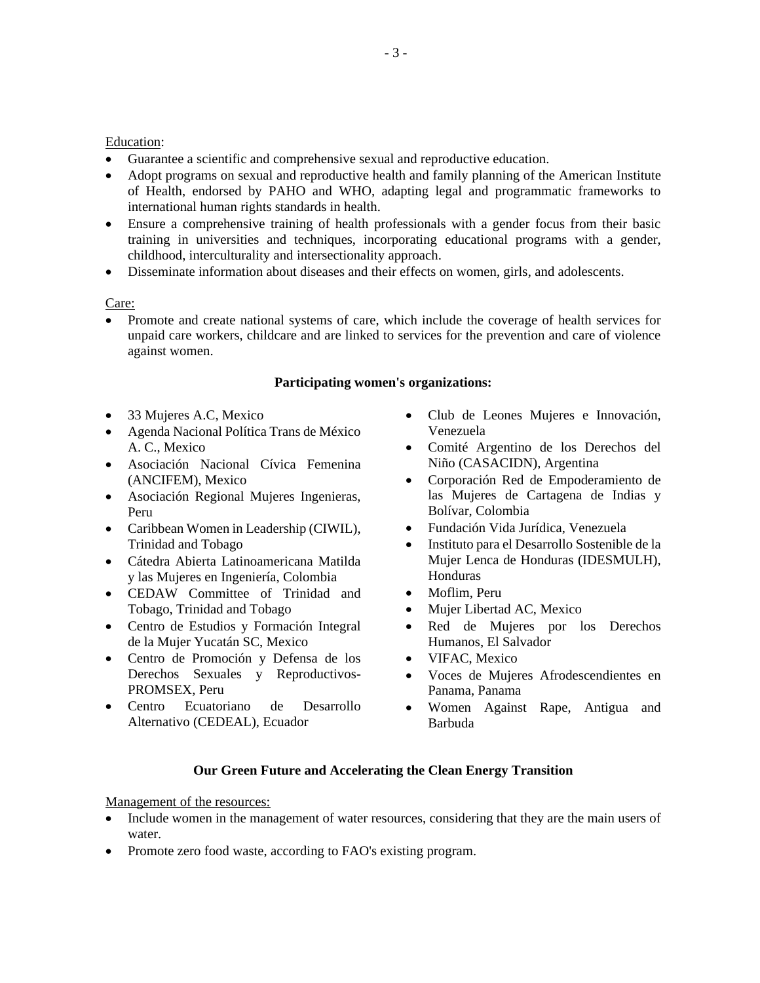## Education:

- Guarantee a scientific and comprehensive sexual and reproductive education.
- Adopt programs on sexual and reproductive health and family planning of the American Institute of Health, endorsed by PAHO and WHO, adapting legal and programmatic frameworks to international human rights standards in health.
- Ensure a comprehensive training of health professionals with a gender focus from their basic training in universities and techniques, incorporating educational programs with a gender, childhood, interculturality and intersectionality approach.
- Disseminate information about diseases and their effects on women, girls, and adolescents.

Care:

• Promote and create national systems of care, which include the coverage of health services for unpaid care workers, childcare and are linked to services for the prevention and care of violence against women.

## **Participating women's organizations:**

- 33 Mujeres A.C, Mexico
- Agenda Nacional Política Trans de México A. C., Mexico
- Asociación Nacional Cívica Femenina (ANCIFEM), Mexico
- Asociación Regional Mujeres Ingenieras, Peru
- Caribbean Women in Leadership (CIWIL), Trinidad and Tobago
- Cátedra Abierta Latinoamericana Matilda y las Mujeres en Ingeniería, Colombia
- CEDAW Committee of Trinidad and Tobago, Trinidad and Tobago
- Centro de Estudios y Formación Integral de la Mujer Yucatán SC, Mexico
- Centro de Promoción y Defensa de los Derechos Sexuales y Reproductivos-PROMSEX, Peru
- Centro Ecuatoriano de Desarrollo Alternativo (CEDEAL), Ecuador
- Club de Leones Mujeres e Innovación, Venezuela
- Comité Argentino de los Derechos del Niño (CASACIDN), Argentina
- Corporación Red de Empoderamiento de las Mujeres de Cartagena de Indias y Bolívar, Colombia
- Fundación Vida Jurídica, Venezuela
- Instituto para el Desarrollo Sostenible de la Mujer Lenca de Honduras (IDESMULH), Honduras
- Moflim, Peru
- Mujer Libertad AC, Mexico
- Red de Mujeres por los Derechos Humanos, El Salvador
- VIFAC, Mexico
- Voces de Mujeres Afrodescendientes en Panama, Panama
- Women Against Rape, Antigua and Barbuda

#### **Our Green Future and Accelerating the Clean Energy Transition**

Management of the resources:

- Include women in the management of water resources, considering that they are the main users of water.
- Promote zero food waste, according to FAO's existing program.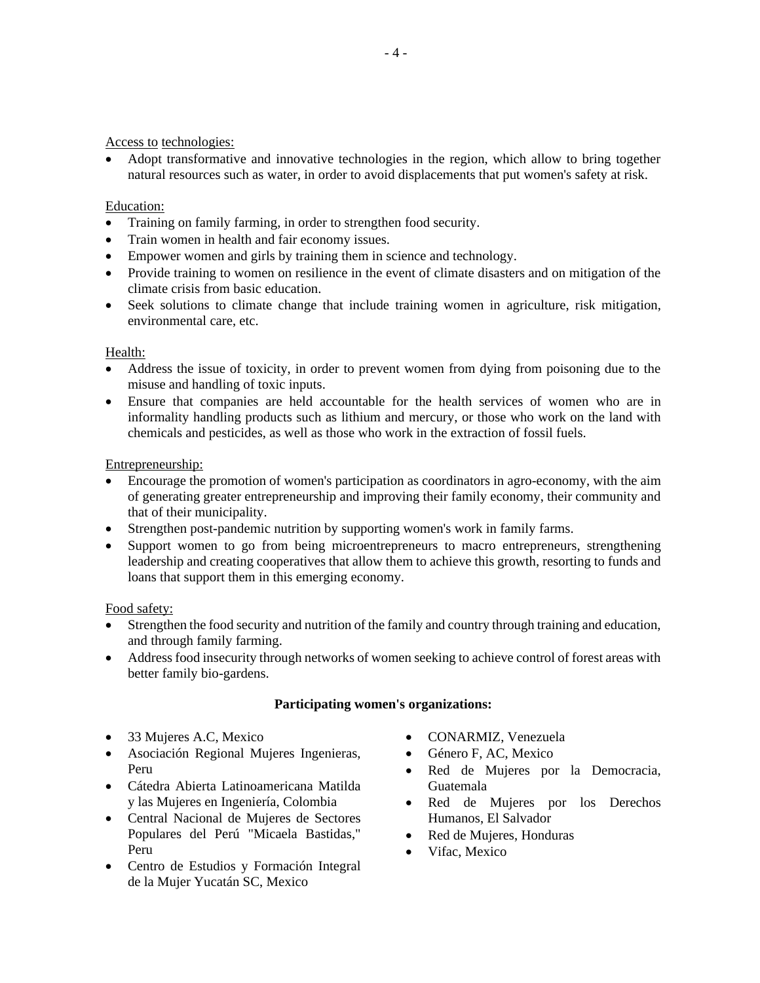Access to technologies:

• Adopt transformative and innovative technologies in the region, which allow to bring together natural resources such as water, in order to avoid displacements that put women's safety at risk.

## Education:

- Training on family farming, in order to strengthen food security.
- Train women in health and fair economy issues.
- Empower women and girls by training them in science and technology.
- Provide training to women on resilience in the event of climate disasters and on mitigation of the climate crisis from basic education.
- Seek solutions to climate change that include training women in agriculture, risk mitigation, environmental care, etc.

#### Health:

- Address the issue of toxicity, in order to prevent women from dying from poisoning due to the misuse and handling of toxic inputs.
- Ensure that companies are held accountable for the health services of women who are in informality handling products such as lithium and mercury, or those who work on the land with chemicals and pesticides, as well as those who work in the extraction of fossil fuels.

## Entrepreneurship:

- Encourage the promotion of women's participation as coordinators in agro-economy, with the aim of generating greater entrepreneurship and improving their family economy, their community and that of their municipality.
- Strengthen post-pandemic nutrition by supporting women's work in family farms.
- Support women to go from being microentrepreneurs to macro entrepreneurs, strengthening leadership and creating cooperatives that allow them to achieve this growth, resorting to funds and loans that support them in this emerging economy.

#### Food safety:

- Strengthen the food security and nutrition of the family and country through training and education, and through family farming.
- Address food insecurity through networks of women seeking to achieve control of forest areas with better family bio-gardens.

#### **Participating women's organizations:**

- 33 Mujeres A.C, Mexico
- Asociación Regional Mujeres Ingenieras, Peru
- Cátedra Abierta Latinoamericana Matilda y las Mujeres en Ingeniería, Colombia
- Central Nacional de Mujeres de Sectores Populares del Perú "Micaela Bastidas," Peru
- Centro de Estudios y Formación Integral de la Mujer Yucatán SC, Mexico
- CONARMIZ, Venezuela
- Género F, AC, Mexico
- Red de Mujeres por la Democracia, Guatemala
- Red de Mujeres por los Derechos Humanos, El Salvador
- Red de Mujeres, Honduras
- Vifac, Mexico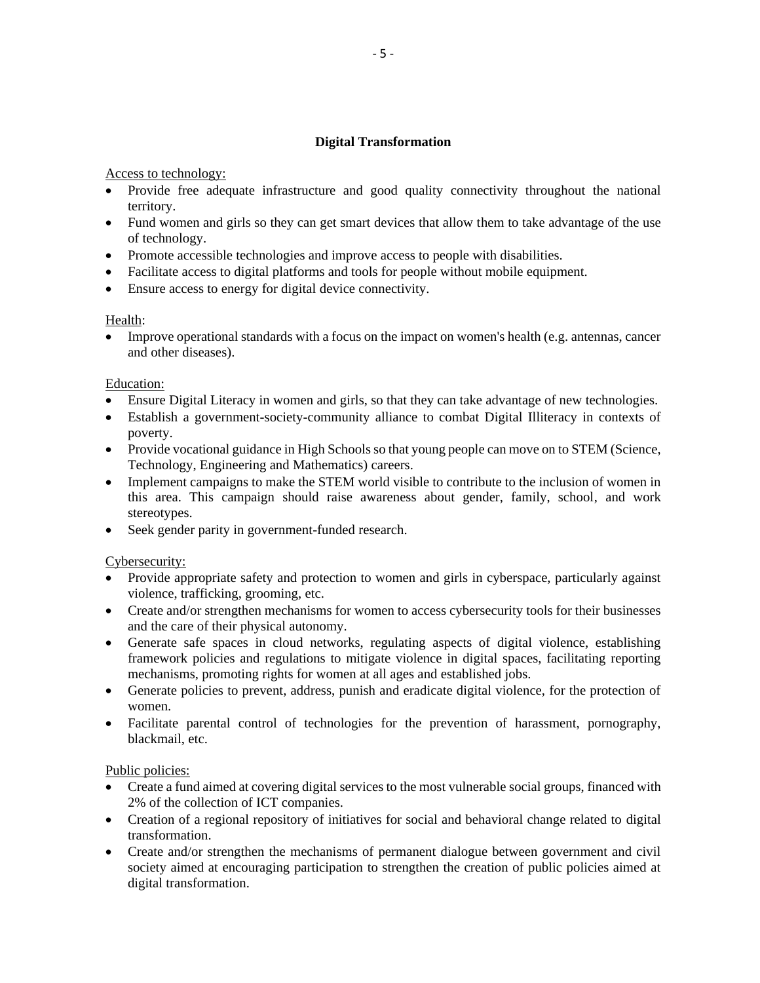# **Digital Transformation**

# Access to technology:

- Provide free adequate infrastructure and good quality connectivity throughout the national territory.
- Fund women and girls so they can get smart devices that allow them to take advantage of the use of technology.
- Promote accessible technologies and improve access to people with disabilities.
- Facilitate access to digital platforms and tools for people without mobile equipment.
- Ensure access to energy for digital device connectivity.

# Health:

• Improve operational standards with a focus on the impact on women's health (e.g. antennas, cancer and other diseases).

## Education:

- Ensure Digital Literacy in women and girls, so that they can take advantage of new technologies.
- Establish a government-society-community alliance to combat Digital Illiteracy in contexts of poverty.
- Provide vocational guidance in High Schools so that young people can move on to STEM (Science, Technology, Engineering and Mathematics) careers.
- Implement campaigns to make the STEM world visible to contribute to the inclusion of women in this area. This campaign should raise awareness about gender, family, school, and work stereotypes.
- Seek gender parity in government-funded research.

# Cybersecurity:

- Provide appropriate safety and protection to women and girls in cyberspace, particularly against violence, trafficking, grooming, etc.
- Create and/or strengthen mechanisms for women to access cybersecurity tools for their businesses and the care of their physical autonomy.
- Generate safe spaces in cloud networks, regulating aspects of digital violence, establishing framework policies and regulations to mitigate violence in digital spaces, facilitating reporting mechanisms, promoting rights for women at all ages and established jobs.
- Generate policies to prevent, address, punish and eradicate digital violence, for the protection of women.
- Facilitate parental control of technologies for the prevention of harassment, pornography, blackmail, etc.

#### Public policies:

- Create a fund aimed at covering digital services to the most vulnerable social groups, financed with 2% of the collection of ICT companies.
- Creation of a regional repository of initiatives for social and behavioral change related to digital transformation.
- Create and/or strengthen the mechanisms of permanent dialogue between government and civil society aimed at encouraging participation to strengthen the creation of public policies aimed at digital transformation.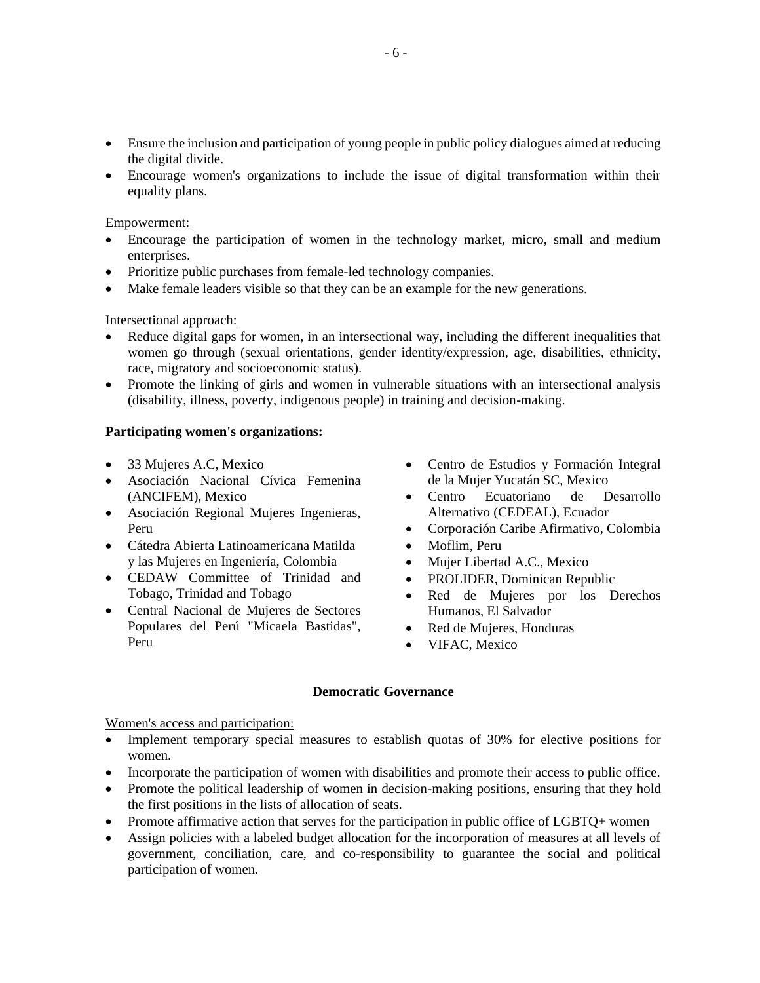- Ensure the inclusion and participation of young people in public policy dialogues aimed at reducing the digital divide.
- Encourage women's organizations to include the issue of digital transformation within their equality plans.

## Empowerment:

- Encourage the participation of women in the technology market, micro, small and medium enterprises.
- Prioritize public purchases from female-led technology companies.
- Make female leaders visible so that they can be an example for the new generations.

# Intersectional approach:

- Reduce digital gaps for women, in an intersectional way, including the different inequalities that women go through (sexual orientations, gender identity/expression, age, disabilities, ethnicity, race, migratory and socioeconomic status).
- Promote the linking of girls and women in vulnerable situations with an intersectional analysis (disability, illness, poverty, indigenous people) in training and decision-making.

## **Participating women's organizations:**

- 33 Mujeres A.C, Mexico
- Asociación Nacional Cívica Femenina (ANCIFEM), Mexico
- Asociación Regional Mujeres Ingenieras, Peru
- Cátedra Abierta Latinoamericana Matilda y las Mujeres en Ingeniería, Colombia
- CEDAW Committee of Trinidad and Tobago, Trinidad and Tobago
- Central Nacional de Mujeres de Sectores Populares del Perú "Micaela Bastidas", Peru
- Centro de Estudios y Formación Integral de la Mujer Yucatán SC, Mexico
- Centro Ecuatoriano de Desarrollo Alternativo (CEDEAL), Ecuador
- Corporación Caribe Afirmativo, Colombia
- Moflim, Peru
- Mujer Libertad A.C., Mexico
- PROLIDER, Dominican Republic
- Red de Mujeres por los Derechos Humanos, El Salvador
- Red de Mujeres, Honduras
- VIFAC, Mexico

#### **Democratic Governance**

Women's access and participation:

- Implement temporary special measures to establish quotas of 30% for elective positions for women.
- Incorporate the participation of women with disabilities and promote their access to public office.
- Promote the political leadership of women in decision-making positions, ensuring that they hold the first positions in the lists of allocation of seats.
- Promote affirmative action that serves for the participation in public office of LGBTQ+ women
- Assign policies with a labeled budget allocation for the incorporation of measures at all levels of government, conciliation, care, and co-responsibility to guarantee the social and political participation of women.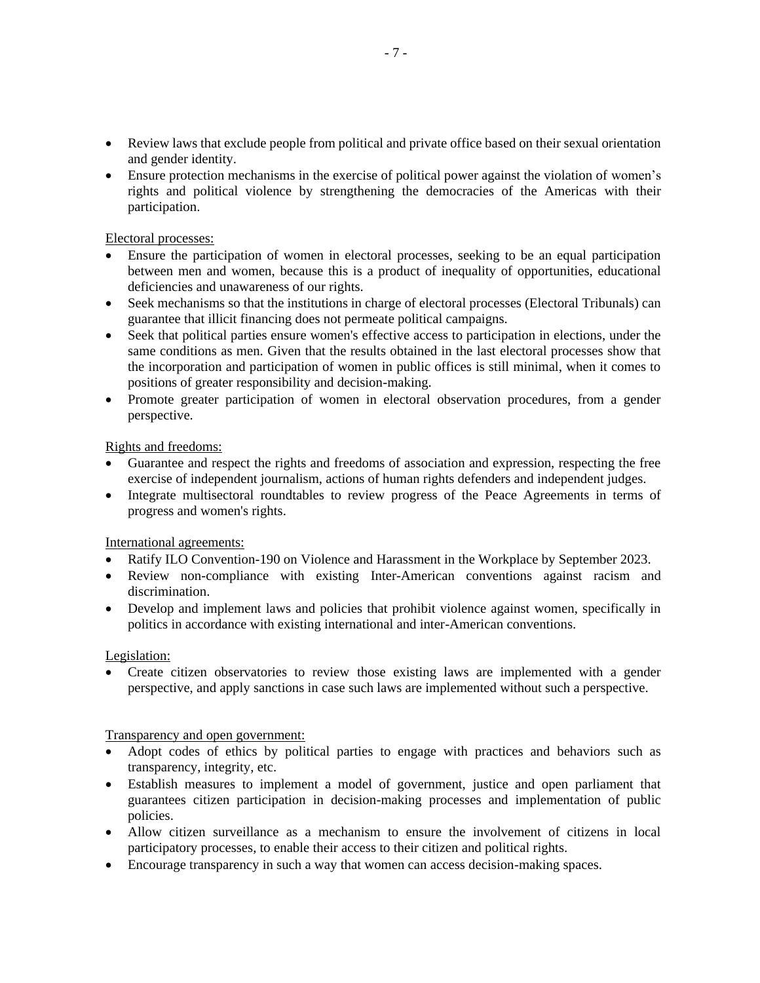- Review laws that exclude people from political and private office based on their sexual orientation and gender identity.
- Ensure protection mechanisms in the exercise of political power against the violation of women's rights and political violence by strengthening the democracies of the Americas with their participation.

Electoral processes:

- Ensure the participation of women in electoral processes, seeking to be an equal participation between men and women, because this is a product of inequality of opportunities, educational deficiencies and unawareness of our rights.
- Seek mechanisms so that the institutions in charge of electoral processes (Electoral Tribunals) can guarantee that illicit financing does not permeate political campaigns.
- Seek that political parties ensure women's effective access to participation in elections, under the same conditions as men. Given that the results obtained in the last electoral processes show that the incorporation and participation of women in public offices is still minimal, when it comes to positions of greater responsibility and decision-making.
- Promote greater participation of women in electoral observation procedures, from a gender perspective.

Rights and freedoms:

- Guarantee and respect the rights and freedoms of association and expression, respecting the free exercise of independent journalism, actions of human rights defenders and independent judges.
- Integrate multisectoral roundtables to review progress of the Peace Agreements in terms of progress and women's rights.

International agreements:

- Ratify ILO Convention-190 on Violence and Harassment in the Workplace by September 2023.
- Review non-compliance with existing Inter-American conventions against racism and discrimination.
- Develop and implement laws and policies that prohibit violence against women, specifically in politics in accordance with existing international and inter-American conventions.

Legislation:

• Create citizen observatories to review those existing laws are implemented with a gender perspective, and apply sanctions in case such laws are implemented without such a perspective.

Transparency and open government:

- Adopt codes of ethics by political parties to engage with practices and behaviors such as transparency, integrity, etc.
- Establish measures to implement a model of government, justice and open parliament that guarantees citizen participation in decision-making processes and implementation of public policies.
- Allow citizen surveillance as a mechanism to ensure the involvement of citizens in local participatory processes, to enable their access to their citizen and political rights.
- Encourage transparency in such a way that women can access decision-making spaces.